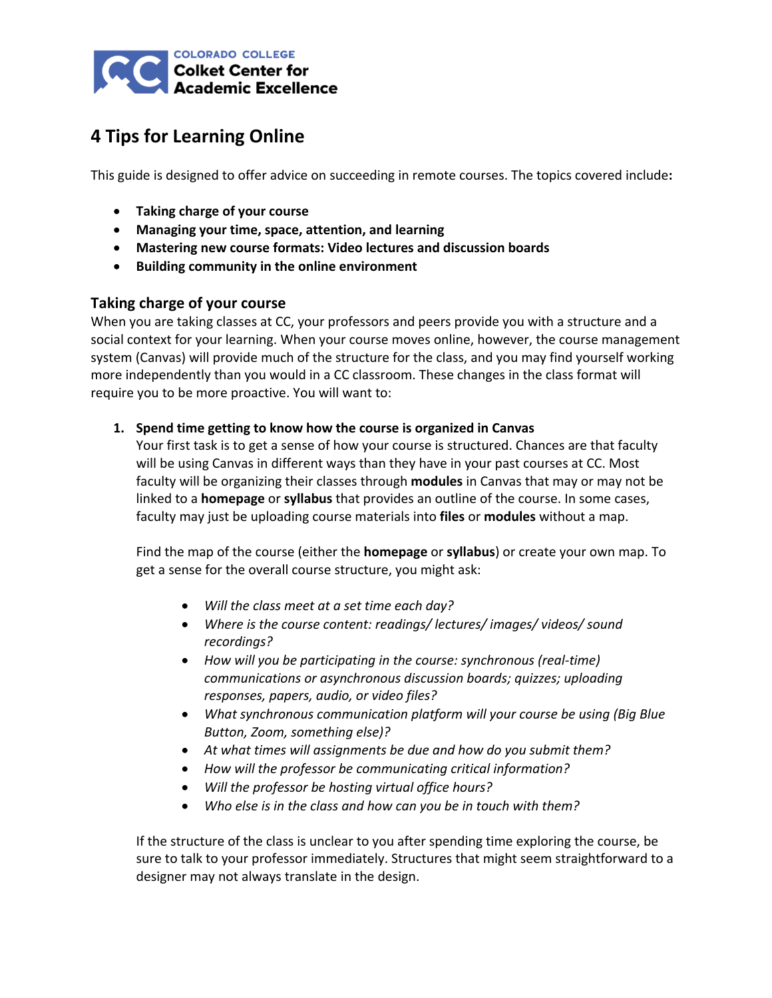

# **4 Tips for Learning Online**

This guide is designed to offer advice on succeeding in remote courses. The topics covered include**:**

- **Taking charge of your course**
- **Managing your time, space, attention, and learning**
- **Mastering new course formats: Video lectures and discussion boards**
- **Building community in the online environment**

## **Taking charge of your course**

When you are taking classes at CC, your professors and peers provide you with a structure and a social context for your learning. When your course moves online, however, the course management system (Canvas) will provide much of the structure for the class, and you may find yourself working more independently than you would in a CC classroom. These changes in the class format will require you to be more proactive. You will want to:

### **1. Spend time getting to know how the course is organized in Canvas**

Your first task is to get a sense of how your course is structured. Chances are that faculty will be using Canvas in different ways than they have in your past courses at CC. Most faculty will be organizing their classes through **modules** in Canvas that may or may not be linked to a **homepage** or **syllabus** that provides an outline of the course. In some cases, faculty may just be uploading course materials into **files** or **modules** without a map.

Find the map of the course (either the **homepage** or **syllabus**) or create your own map. To get a sense for the overall course structure, you might ask:

- *Will the class meet at a set time each day?*
- *Where is the course content: readings/ lectures/ images/ videos/ sound recordings?*
- *How will you be participating in the course: synchronous (real-time) communications or asynchronous discussion boards; quizzes; uploading responses, papers, audio, or video files?*
- *What synchronous communication platform will your course be using (Big Blue Button, Zoom, something else)?*
- *At what times will assignments be due and how do you submit them?*
- *How will the professor be communicating critical information?*
- *Will the professor be hosting virtual office hours?*
- *Who else is in the class and how can you be in touch with them?*

If the structure of the class is unclear to you after spending time exploring the course, be sure to talk to your professor immediately. Structures that might seem straightforward to a designer may not always translate in the design.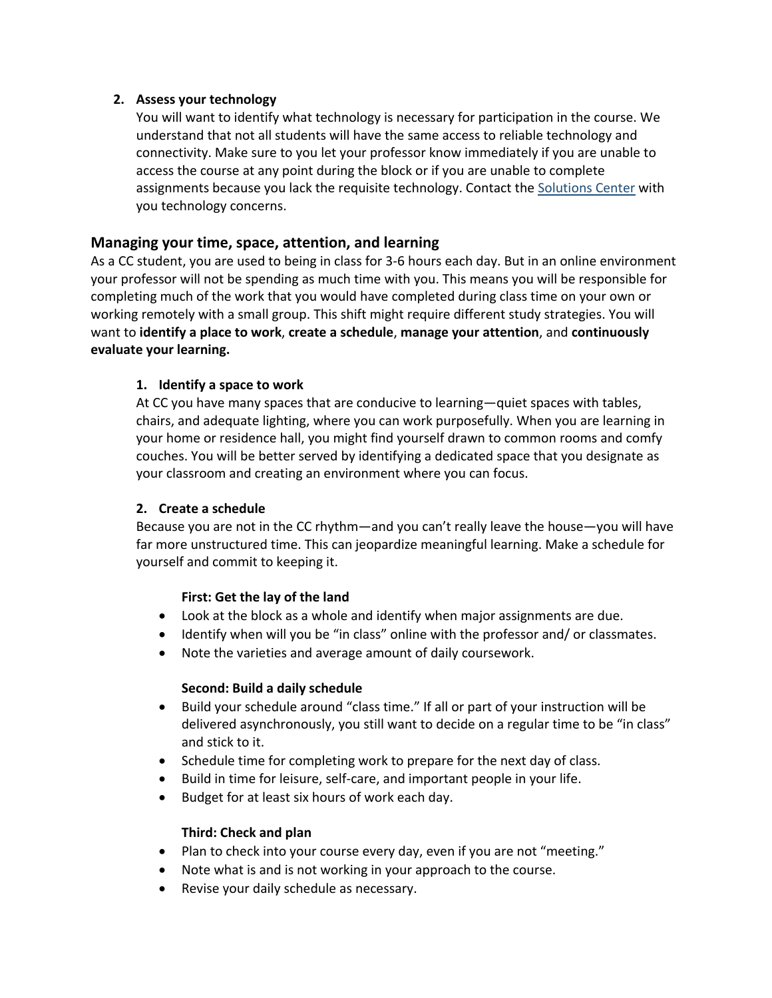### **2. Assess your technology**

You will want to identify what technology is necessary for participation in the course. We understand that not all students will have the same access to reliable technology and connectivity. Make sure to you let your professor know immediately if you are unable to access the course at any point during the block or if you are unable to complete assignments because you lack the requisite technology. Contact the [Solutions Center](https://www.coloradocollege.edu/offices/its/policies-procedures/help-desk-support.html) with you technology concerns.

## **Managing your time, space, attention, and learning**

As a CC student, you are used to being in class for 3-6 hours each day. But in an online environment your professor will not be spending as much time with you. This means you will be responsible for completing much of the work that you would have completed during class time on your own or working remotely with a small group. This shift might require different study strategies. You will want to **identify a place to work**, **create a schedule**, **manage your attention**, and **continuously evaluate your learning.**

## **1. Identify a space to work**

At CC you have many spaces that are conducive to learning—quiet spaces with tables, chairs, and adequate lighting, where you can work purposefully. When you are learning in your home or residence hall, you might find yourself drawn to common rooms and comfy couches. You will be better served by identifying a dedicated space that you designate as your classroom and creating an environment where you can focus.

### **2. Create a schedule**

Because you are not in the CC rhythm—and you can't really leave the house—you will have far more unstructured time. This can jeopardize meaningful learning. Make a schedule for yourself and commit to keeping it.

### **First: Get the lay of the land**

- Look at the block as a whole and identify when major assignments are due.
- Identify when will you be "in class" online with the professor and/ or classmates.
- Note the varieties and average amount of daily coursework.

### **Second: Build a daily schedule**

- Build your schedule around "class time." If all or part of your instruction will be delivered asynchronously, you still want to decide on a regular time to be "in class" and stick to it.
- Schedule time for completing work to prepare for the next day of class.
- Build in time for leisure, self-care, and important people in your life.
- Budget for at least six hours of work each day.

### **Third: Check and plan**

- Plan to check into your course every day, even if you are not "meeting."
- Note what is and is not working in your approach to the course.
- Revise your daily schedule as necessary.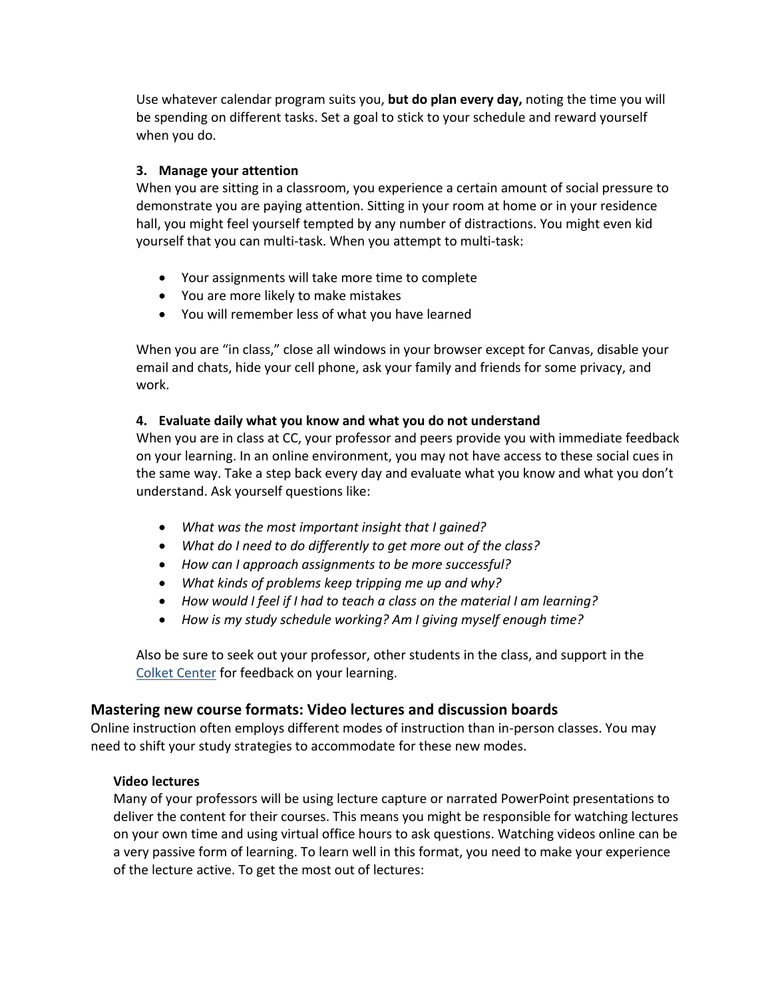Use whatever calendar program suits you, **but do plan every day,** noting the time you will be spending on different tasks. Set a goal to stick to your schedule and reward yourself when you do.

## **3. Manage your attention**

When you are sitting in a classroom, you experience a certain amount of social pressure to demonstrate you are paying attention. Sitting in your room at home or in your residence hall, you might feel yourself tempted by any number of distractions. You might even kid yourself that you can multi-task. When you attempt to multi-task:

- Your assignments will take more time to complete
- You are more likely to make mistakes
- You will remember less of what you have learned

When you are "in class," close all windows in your browser except for Canvas, disable your email and chats, hide your cell phone, ask your family and friends for some privacy, and work.

### **4. Evaluate daily what you know and what you do not understand**

When you are in class at CC, your professor and peers provide you with immediate feedback on your learning. In an online environment, you may not have access to these social cues in the same way. Take a step back every day and evaluate what you know and what you don't understand. Ask yourself questions like:

- *What was the most important insight that I gained?*
- *What do I need to do differently to get more out of the class?*
- *How can I approach assignments to be more successful?*
- *What kinds of problems keep tripping me up and why?*
- *How would I feel if I had to teach a class on the material I am learning?*
- *How is my study schedule working? Am I giving myself enough time?*

Also be sure to seek out your professor, other students in the class, and support in the [Colket Center](https://www.coloradocollege.edu/colketcenter/) for feedback on your learning.

### **Mastering new course formats: Video lectures and discussion boards**

Online instruction often employs different modes of instruction than in-person classes. You may need to shift your study strategies to accommodate for these new modes.

#### **Video lectures**

Many of your professors will be using lecture capture or narrated PowerPoint presentations to deliver the content for their courses. This means you might be responsible for watching lectures on your own time and using virtual office hours to ask questions. Watching videos online can be a very passive form of learning. To learn well in this format, you need to make your experience of the lecture active. To get the most out of lectures: